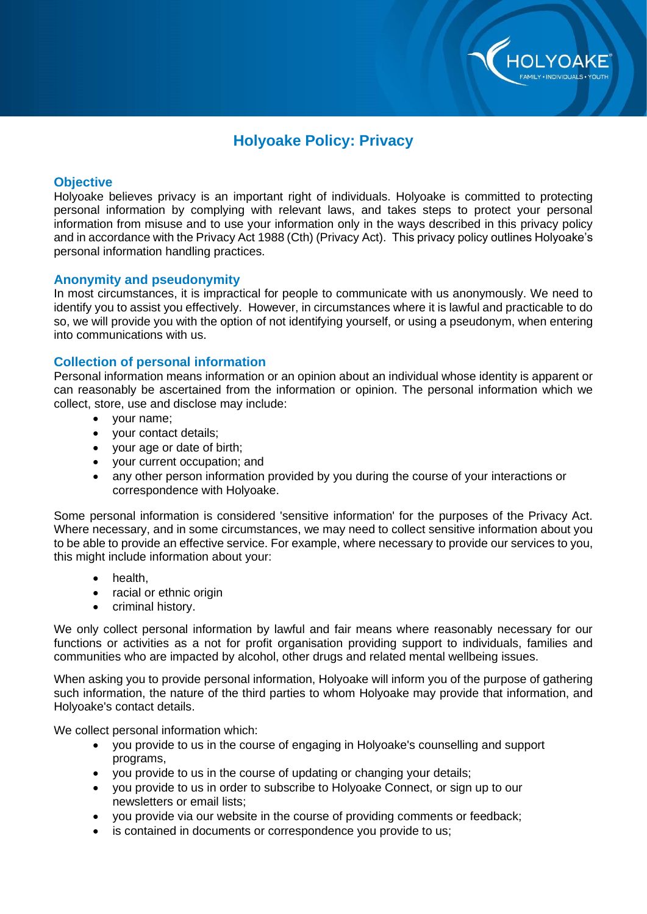

# **Holyoake Policy: Privacy**

## **Objective**

Holyoake believes privacy is an important right of individuals. Holyoake is committed to protecting personal information by complying with relevant laws, and takes steps to protect your personal information from misuse and to use your information only in the ways described in this privacy policy and in accordance with the Privacy Act 1988 (Cth) (Privacy Act). This privacy policy outlines Holyoake's personal information handling practices.

## **Anonymity and pseudonymity**

In most circumstances, it is impractical for people to communicate with us anonymously. We need to identify you to assist you effectively. However, in circumstances where it is lawful and practicable to do so, we will provide you with the option of not identifying yourself, or using a pseudonym, when entering into communications with us.

## **Collection of personal information**

Personal information means information or an opinion about an individual whose identity is apparent or can reasonably be ascertained from the information or opinion. The personal information which we collect, store, use and disclose may include:

- your name;
- your contact details;
- your age or date of birth;
- your current occupation; and
- any other person information provided by you during the course of your interactions or correspondence with Holyoake.

Some personal information is considered 'sensitive information' for the purposes of the Privacy Act. Where necessary, and in some circumstances, we may need to collect sensitive information about you to be able to provide an effective service. For example, where necessary to provide our services to you, this might include information about your:

- health,
- racial or ethnic origin
- criminal history.

We only collect personal information by lawful and fair means where reasonably necessary for our functions or activities as a not for profit organisation providing support to individuals, families and communities who are impacted by alcohol, other drugs and related mental wellbeing issues.

When asking you to provide personal information, Holyoake will inform you of the purpose of gathering such information, the nature of the third parties to whom Holyoake may provide that information, and Holyoake's contact details.

We collect personal information which:

- you provide to us in the course of engaging in Holyoake's counselling and support programs,
- you provide to us in the course of updating or changing your details;
- you provide to us in order to subscribe to Holyoake Connect, or sign up to our newsletters or email lists;
- you provide via our website in the course of providing comments or feedback;
- is contained in documents or correspondence you provide to us;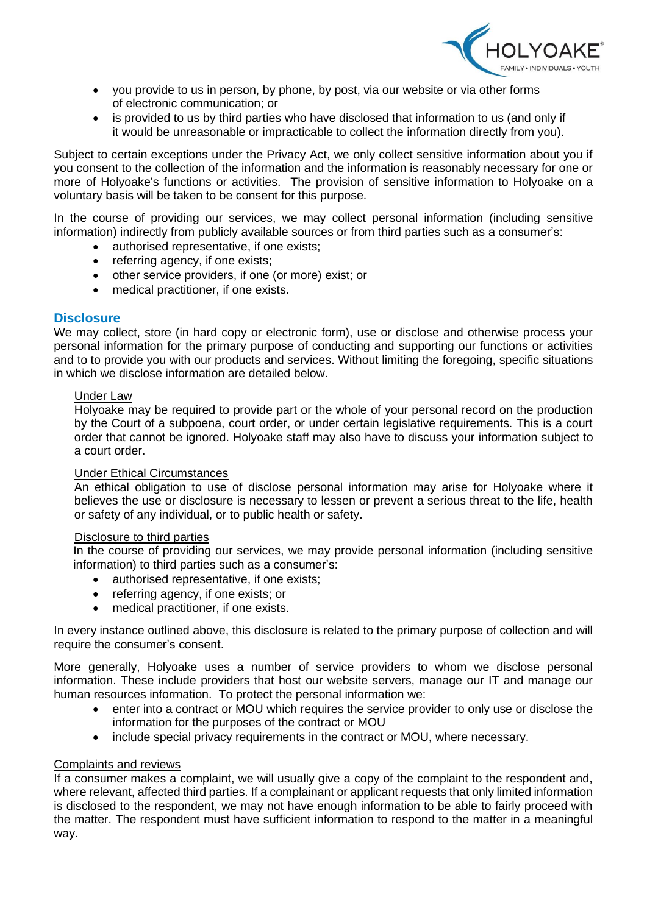

- you provide to us in person, by phone, by post, via our website or via other forms of electronic communication; or
- is provided to us by third parties who have disclosed that information to us (and only if it would be unreasonable or impracticable to collect the information directly from you).

Subject to certain exceptions under the Privacy Act, we only collect sensitive information about you if you consent to the collection of the information and the information is reasonably necessary for one or more of Holyoake's functions or activities. The provision of sensitive information to Holyoake on a voluntary basis will be taken to be consent for this purpose.

In the course of providing our services, we may collect personal information (including sensitive information) indirectly from publicly available sources or from third parties such as a consumer's:

- authorised representative, if one exists:
- referring agency, if one exists;
- other service providers, if one (or more) exist; or
- medical practitioner, if one exists.

## **Disclosure**

We may collect, store (in hard copy or electronic form), use or disclose and otherwise process your personal information for the primary purpose of conducting and supporting our functions or activities and to to provide you with our products and services. Without limiting the foregoing, specific situations in which we disclose information are detailed below.

#### Under Law

Holyoake may be required to provide part or the whole of your personal record on the production by the Court of a subpoena, court order, or under certain legislative requirements. This is a court order that cannot be ignored. Holyoake staff may also have to discuss your information subject to a court order.

#### Under Ethical Circumstances

An ethical obligation to use of disclose personal information may arise for Holyoake where it believes the use or disclosure is necessary to lessen or prevent a serious threat to the life, health or safety of any individual, or to public health or safety.

#### Disclosure to third parties

In the course of providing our services, we may provide personal information (including sensitive information) to third parties such as a consumer's:

- authorised representative, if one exists;
- referring agency, if one exists; or
- medical practitioner, if one exists.

In every instance outlined above, this disclosure is related to the primary purpose of collection and will require the consumer's consent.

More generally, Holyoake uses a number of service providers to whom we disclose personal information. These include providers that host our website servers, manage our IT and manage our human resources information. To protect the personal information we:

- enter into a contract or MOU which requires the service provider to only use or disclose the information for the purposes of the contract or MOU
- include special privacy requirements in the contract or MOU, where necessary.

#### Complaints and reviews

If a consumer makes a complaint, we will usually give a copy of the complaint to the respondent and, where relevant, affected third parties. If a complainant or applicant requests that only limited information is disclosed to the respondent, we may not have enough information to be able to fairly proceed with the matter. The respondent must have sufficient information to respond to the matter in a meaningful way.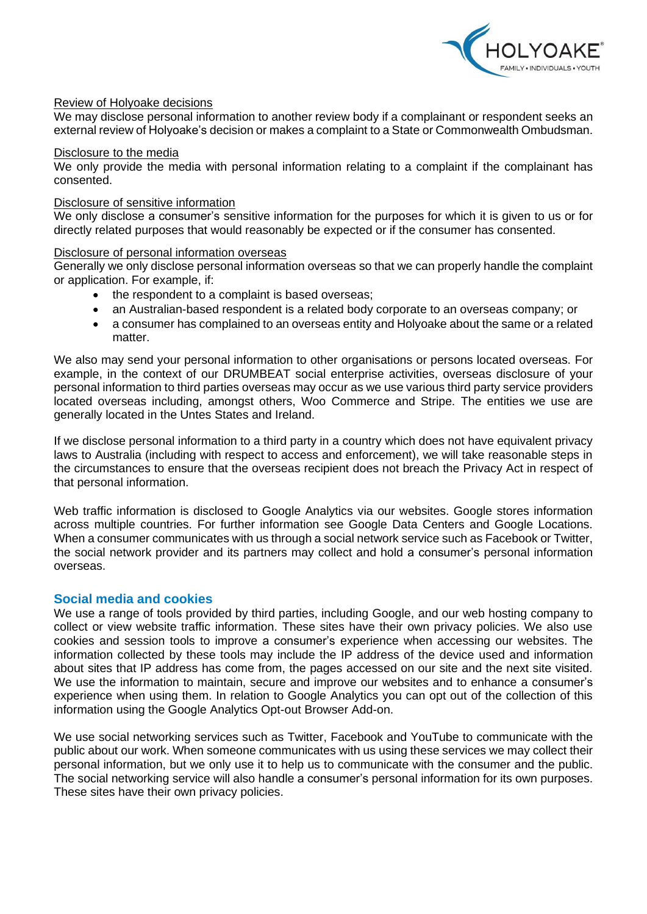

### Review of Holyoake decisions

We may disclose personal information to another review body if a complainant or respondent seeks an external review of Holyoake's decision or makes a complaint to a State or Commonwealth Ombudsman.

#### Disclosure to the media

We only provide the media with personal information relating to a complaint if the complainant has consented.

#### Disclosure of sensitive information

We only disclose a consumer's sensitive information for the purposes for which it is given to us or for directly related purposes that would reasonably be expected or if the consumer has consented.

#### Disclosure of personal information overseas

Generally we only disclose personal information overseas so that we can properly handle the complaint or application. For example, if:

- the respondent to a complaint is based overseas;
- an Australian-based respondent is a related body corporate to an overseas company; or
- a consumer has complained to an overseas entity and Holyoake about the same or a related matter.

We also may send your personal information to other organisations or persons located overseas. For example, in the context of our DRUMBEAT social enterprise activities, overseas disclosure of your personal information to third parties overseas may occur as we use various third party service providers located overseas including, amongst others, Woo Commerce and Stripe. The entities we use are generally located in the Untes States and Ireland.

If we disclose personal information to a third party in a country which does not have equivalent privacy laws to Australia (including with respect to access and enforcement), we will take reasonable steps in the circumstances to ensure that the overseas recipient does not breach the Privacy Act in respect of that personal information.

Web traffic information is disclosed to Google Analytics via our websites. Google stores information across multiple countries. For further information see Google Data Centers and Google Locations. When a consumer communicates with us through a social network service such as Facebook or Twitter, the social network provider and its partners may collect and hold a consumer's personal information overseas.

## **Social media and cookies**

We use a range of tools provided by third parties, including Google, and our web hosting company to collect or view website traffic information. These sites have their own privacy policies. We also use cookies and session tools to improve a consumer's experience when accessing our websites. The information collected by these tools may include the IP address of the device used and information about sites that IP address has come from, the pages accessed on our site and the next site visited. We use the information to maintain, secure and improve our websites and to enhance a consumer's experience when using them. In relation to Google Analytics you can opt out of the collection of this information using the Google Analytics Opt-out Browser Add-on.

We use social networking services such as Twitter, Facebook and YouTube to communicate with the public about our work. When someone communicates with us using these services we may collect their personal information, but we only use it to help us to communicate with the consumer and the public. The social networking service will also handle a consumer's personal information for its own purposes. These sites have their own privacy policies.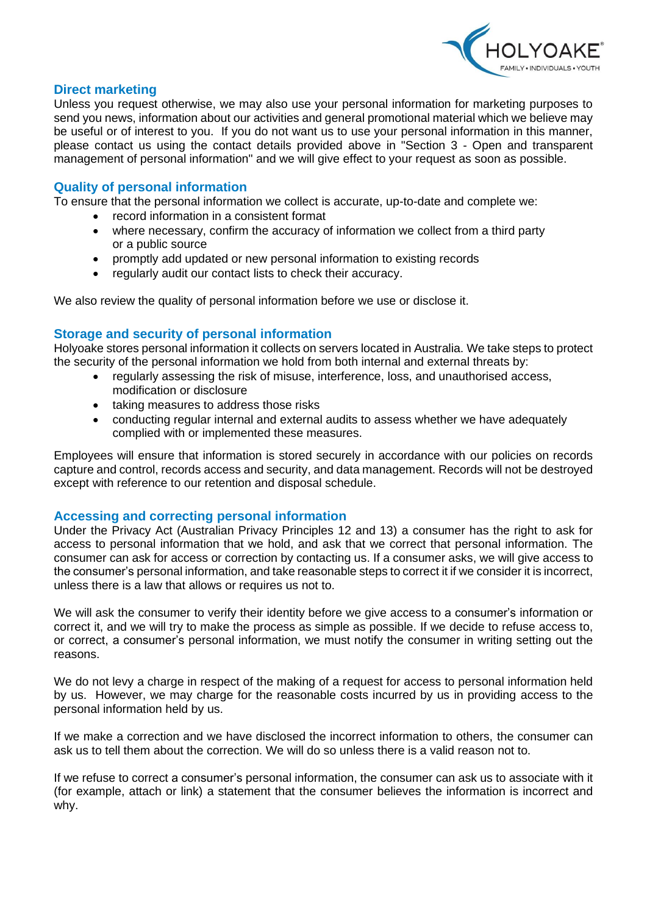

## **Direct marketing**

Unless you request otherwise, we may also use your personal information for marketing purposes to send you news, information about our activities and general promotional material which we believe may be useful or of interest to you. If you do not want us to use your personal information in this manner, please contact us using the contact details provided above in "Section 3 - Open and transparent management of personal information" and we will give effect to your request as soon as possible.

## **Quality of personal information**

To ensure that the personal information we collect is accurate, up-to-date and complete we:

- record information in a consistent format
- where necessary, confirm the accuracy of information we collect from a third party or a public source
- promptly add updated or new personal information to existing records
- regularly audit our contact lists to check their accuracy.

We also review the quality of personal information before we use or disclose it.

#### **Storage and security of personal information**

Holyoake stores personal information it collects on servers located in Australia. We take steps to protect the security of the personal information we hold from both internal and external threats by:

- regularly assessing the risk of misuse, interference, loss, and unauthorised access, modification or disclosure
- taking measures to address those risks
- conducting regular internal and external audits to assess whether we have adequately complied with or implemented these measures.

Employees will ensure that information is stored securely in accordance with our policies on records capture and control, records access and security, and data management. Records will not be destroyed except with reference to our retention and disposal schedule.

## **Accessing and correcting personal information**

Under the Privacy Act (Australian Privacy Principles 12 and 13) a consumer has the right to ask for access to personal information that we hold, and ask that we correct that personal information. The consumer can ask for access or correction by contacting us. If a consumer asks, we will give access to the consumer's personal information, and take reasonable steps to correct it if we consider it is incorrect, unless there is a law that allows or requires us not to.

We will ask the consumer to verify their identity before we give access to a consumer's information or correct it, and we will try to make the process as simple as possible. If we decide to refuse access to, or correct, a consumer's personal information, we must notify the consumer in writing setting out the reasons.

We do not levy a charge in respect of the making of a request for access to personal information held by us. However, we may charge for the reasonable costs incurred by us in providing access to the personal information held by us.

If we make a correction and we have disclosed the incorrect information to others, the consumer can ask us to tell them about the correction. We will do so unless there is a valid reason not to.

If we refuse to correct a consumer's personal information, the consumer can ask us to associate with it (for example, attach or link) a statement that the consumer believes the information is incorrect and why.